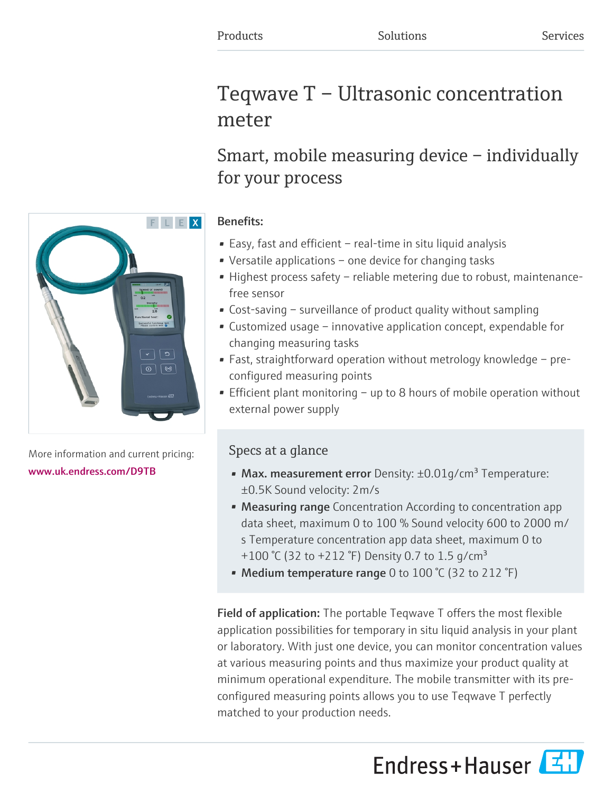# Teqwave T – Ultrasonic concentration meter

## Smart, mobile measuring device – individually for your process

## Benefits:

- Easy, fast and efficient real-time in situ liquid analysis
- Versatile applications one device for changing tasks
- Highest process safety reliable metering due to robust, maintenancefree sensor
- Cost-saving surveillance of product quality without sampling
- Customized usage innovative application concept, expendable for changing measuring tasks
- Fast, straightforward operation without metrology knowledge preconfigured measuring points
- Efficient plant monitoring up to 8 hours of mobile operation without external power supply

## Specs at a glance

- Max. measurement error Density:  $\pm 0.01$  g/cm<sup>3</sup> Temperature: ±0.5K Sound velocity: 2m/s
- Measuring range Concentration According to concentration app data sheet, maximum 0 to 100 % Sound velocity 600 to 2000 m/ s Temperature concentration app data sheet, maximum 0 to +100 °C (32 to +212 °F) Density 0.7 to 1.5 g/cm<sup>3</sup>
- Medium temperature range 0 to 100 °C (32 to 212 °F)

Field of application: The portable Teqwave T offers the most flexible application possibilities for temporary in situ liquid analysis in your plant or laboratory. With just one device, you can monitor concentration values at various measuring points and thus maximize your product quality at minimum operational expenditure. The mobile transmitter with its preconfigured measuring points allows you to use Teqwave T perfectly matched to your production needs.

Endress+Hauser



More information and current pricing: [www.uk.endress.com/D9TB](https://www.uk.endress.com/D9TB)

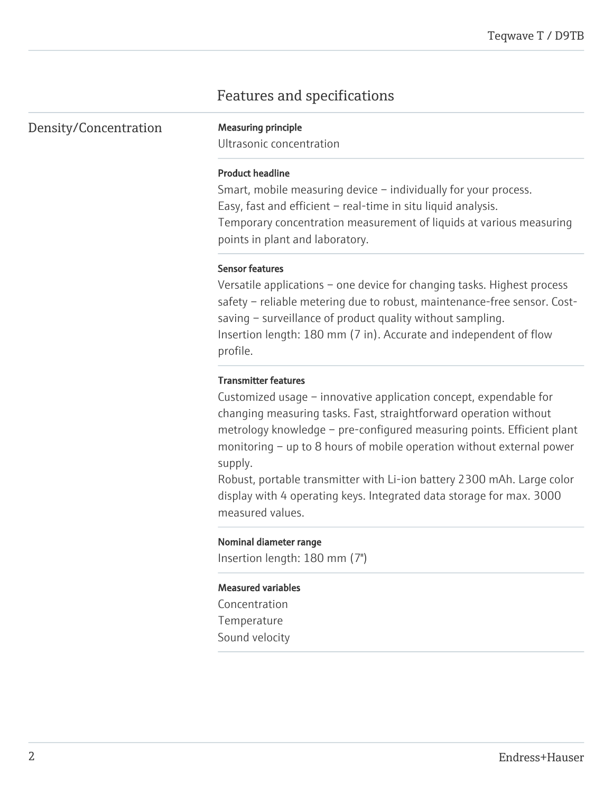## Features and specifications

Density/Concentration Measuring principle

Ultrasonic concentration

#### Product headline

Smart, mobile measuring device – individually for your process. Easy, fast and efficient – real-time in situ liquid analysis. Temporary concentration measurement of liquids at various measuring points in plant and laboratory.

#### Sensor features

Versatile applications – one device for changing tasks. Highest process safety – reliable metering due to robust, maintenance-free sensor. Costsaving – surveillance of product quality without sampling. Insertion length: 180 mm (7 in). Accurate and independent of flow profile.

#### Transmitter features

Customized usage – innovative application concept, expendable for changing measuring tasks. Fast, straightforward operation without metrology knowledge – pre-configured measuring points. Efficient plant monitoring – up to 8 hours of mobile operation without external power supply.

Robust, portable transmitter with Li-ion battery 2300 mAh. Large color display with 4 operating keys. Integrated data storage for max. 3000 measured values.

#### Nominal diameter range

Insertion length: 180 mm (7")

#### Measured variables

Concentration Temperature Sound velocity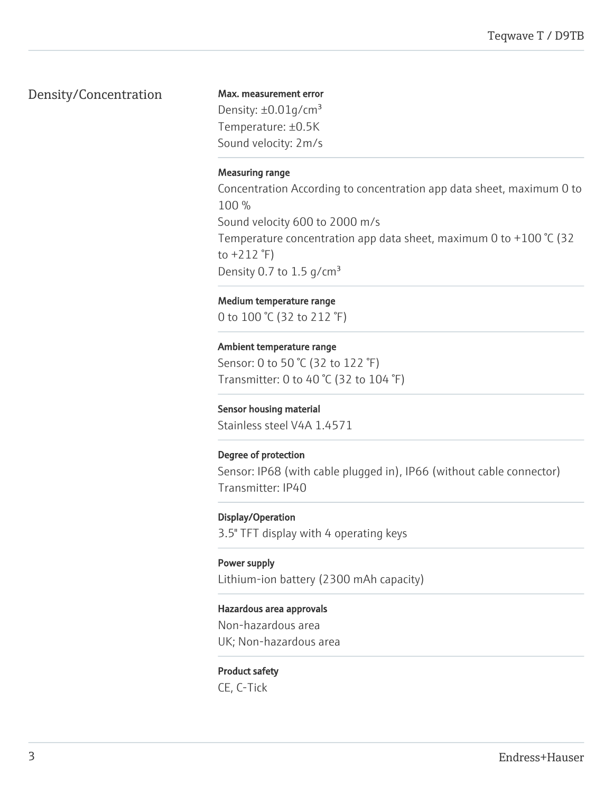### Density/Concentration

Max. measurement error Density:  $\pm 0.01$ g/cm<sup>3</sup> Temperature: ±0.5K Sound velocity: 2m/s

#### Measuring range

Concentration According to concentration app data sheet, maximum 0 to 100 % Sound velocity 600 to 2000 m/s Temperature concentration app data sheet, maximum 0 to +100 °C (32 to  $+212$   $\degree$ F) Density 0.7 to 1.5  $q/cm<sup>3</sup>$ 

Medium temperature range 0 to 100 °C (32 to 212 °F)

Ambient temperature range Sensor: 0 to 50 ℃ (32 to 122 °F) Transmitter: 0 to 40 °C (32 to 104 °F)

Sensor housing material Stainless steel V4A 1.4571

Degree of protection Sensor: IP68 (with cable plugged in), IP66 (without cable connector) Transmitter: IP40

#### Display/Operation

3.5" TFT display with 4 operating keys

Power supply Lithium-ion battery (2300 mAh capacity)

#### Hazardous area approvals

Non-hazardous area UK; Non-hazardous area

Product safety CE, C-Tick